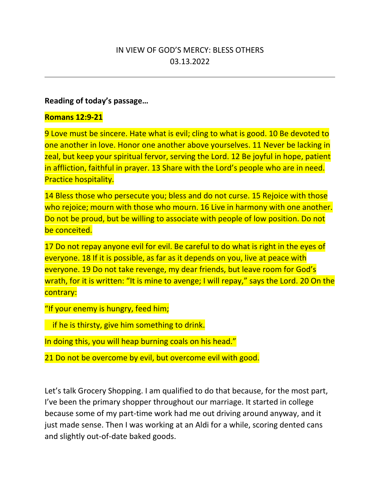# IN VIEW OF GOD'S MERCY: BLESS OTHERS 03.13.2022

#### **Reading of today's passage…**

#### **Romans 12:9-21**

9 Love must be sincere. Hate what is evil; cling to what is good. 10 Be devoted to one another in love. Honor one another above yourselves. 11 Never be lacking in zeal, but keep your spiritual fervor, serving the Lord. 12 Be joyful in hope, patient in affliction, faithful in prayer. 13 Share with the Lord's people who are in need. Practice hospitality.

14 Bless those who persecute you; bless and do not curse. 15 Rejoice with those who rejoice; mourn with those who mourn. 16 Live in harmony with one another. Do not be proud, but be willing to associate with people of low position. Do not be conceited.

17 Do not repay anyone evil for evil. Be careful to do what is right in the eyes of everyone. 18 If it is possible, as far as it depends on you, live at peace with everyone. 19 Do not take revenge, my dear friends, but leave room for God's wrath, for it is written: "It is mine to avenge; I will repay," says the Lord. 20 On the contrary:

"If your enemy is hungry, feed him;

if he is thirsty, give him something to drink.

In doing this, you will heap burning coals on his head."

21 Do not be overcome by evil, but overcome evil with good.

Let's talk Grocery Shopping. I am qualified to do that because, for the most part, I've been the primary shopper throughout our marriage. It started in college because some of my part-time work had me out driving around anyway, and it just made sense. Then I was working at an Aldi for a while, scoring dented cans and slightly out-of-date baked goods.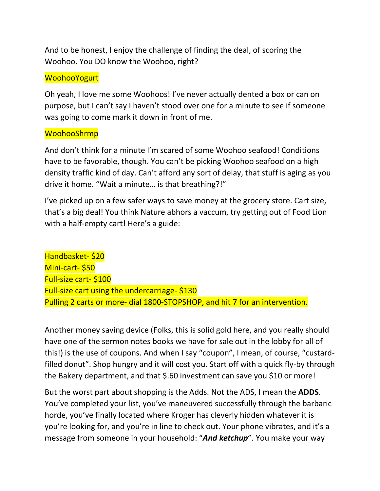And to be honest, I enjoy the challenge of finding the deal, of scoring the Woohoo. You DO know the Woohoo, right?

### **WoohooYogurt**

Oh yeah, I love me some Woohoos! I've never actually dented a box or can on purpose, but I can't say I haven't stood over one for a minute to see if someone was going to come mark it down in front of me.

#### WoohooShrmp

And don't think for a minute I'm scared of some Woohoo seafood! Conditions have to be favorable, though. You can't be picking Woohoo seafood on a high density traffic kind of day. Can't afford any sort of delay, that stuff is aging as you drive it home. "Wait a minute… is that breathing?!"

I've picked up on a few safer ways to save money at the grocery store. Cart size, that's a big deal! You think Nature abhors a vaccum, try getting out of Food Lion with a half-empty cart! Here's a guide:

Handbasket- \$20 Mini-cart- \$50 Full-size cart- \$100 Full-size cart using the undercarriage- \$130 Pulling 2 carts or more- dial 1800-STOPSHOP, and hit 7 for an intervention.

Another money saving device (Folks, this is solid gold here, and you really should have one of the sermon notes books we have for sale out in the lobby for all of this!) is the use of coupons. And when I say "coupon", I mean, of course, "custardfilled donut". Shop hungry and it will cost you. Start off with a quick fly-by through the Bakery department, and that \$.60 investment can save you \$10 or more!

But the worst part about shopping is the Adds. Not the ADS, I mean the **ADDS**. You've completed your list, you've maneuvered successfully through the barbaric horde, you've finally located where Kroger has cleverly hidden whatever it is you're looking for, and you're in line to check out. Your phone vibrates, and it's a message from someone in your household: "*And ketchup*". You make your way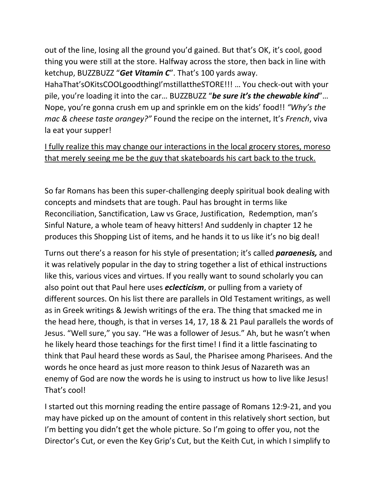out of the line, losing all the ground you'd gained. But that's OK, it's cool, good thing you were still at the store. Halfway across the store, then back in line with ketchup, BUZZBUZZ "*Get Vitamin C*". That's 100 yards away.

HahaThat'sOKitsCOOLgoodthingI'mstillattheSTORE!!! … You check-out with your pile, you're loading it into the car… BUZZBUZZ "*be sure it's the chewable kind*"… Nope, you're gonna crush em up and sprinkle em on the kids' food!! *"Why's the mac & cheese taste orangey?"* Found the recipe on the internet, It's *French*, viva la eat your supper!

I fully realize this may change our interactions in the local grocery stores, moreso that merely seeing me be the guy that skateboards his cart back to the truck.

So far Romans has been this super-challenging deeply spiritual book dealing with concepts and mindsets that are tough. Paul has brought in terms like Reconciliation, Sanctification, Law vs Grace, Justification, Redemption, man's Sinful Nature, a whole team of heavy hitters! And suddenly in chapter 12 he produces this Shopping List of items, and he hands it to us like it's no big deal!

Turns out there's a reason for his style of presentation; it's called *paraenesis,* and it was relatively popular in the day to string together a list of ethical instructions like this, various vices and virtues. If you really want to sound scholarly you can also point out that Paul here uses *eclecticism*, or pulling from a variety of different sources. On his list there are parallels in Old Testament writings, as well as in Greek writings & Jewish writings of the era. The thing that smacked me in the head here, though, is that in verses 14, 17, 18 & 21 Paul parallels the words of Jesus. "Well sure," you say. "He was a follower of Jesus." Ah, but he wasn't when he likely heard those teachings for the first time! I find it a little fascinating to think that Paul heard these words as Saul, the Pharisee among Pharisees. And the words he once heard as just more reason to think Jesus of Nazareth was an enemy of God are now the words he is using to instruct us how to live like Jesus! That's cool!

I started out this morning reading the entire passage of Romans 12:9-21, and you may have picked up on the amount of content in this relatively short section, but I'm betting you didn't get the whole picture. So I'm going to offer you, not the Director's Cut, or even the Key Grip's Cut, but the Keith Cut, in which I simplify to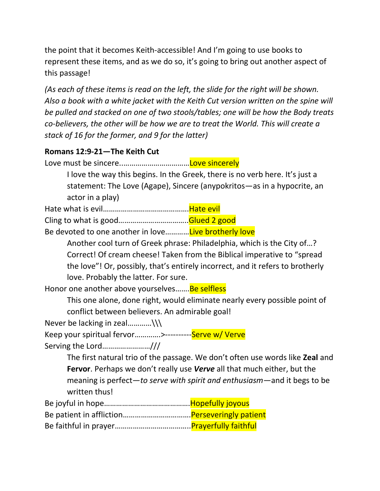the point that it becomes Keith-accessible! And I'm going to use books to represent these items, and as we do so, it's going to bring out another aspect of this passage!

*(As each of these items is read on the left, the slide for the right will be shown. Also a book with a white jacket with the Keith Cut version written on the spine will be pulled and stacked on one of two stools/tables; one will be how the Body treats co-believers, the other will be how we are to treat the World. This will create a stack of 16 for the former, and 9 for the latter)*

## **Romans 12:9-21—The Keith Cut**

Love must be sincere..……………………………Love sincerely

I love the way this begins. In the Greek, there is no verb here. It's just a statement: The Love (Agape), Sincere (anypokritos—as in a hypocrite, an actor in a play)

Hate what is evil…………………………………….Hate evil

Cling to what is good……………………………..Glued 2 good

Be devoted to one another in love............. Live brotherly love

Another cool turn of Greek phrase: Philadelphia, which is the City of…? Correct! Of cream cheese! Taken from the Biblical imperative to "spread the love"! Or, possibly, that's entirely incorrect, and it refers to brotherly love. Probably the latter. For sure.

Honor one another above yourselves....... Be selfless

This one alone, done right, would eliminate nearly every possible point of conflict between believers. An admirable goal!

Never be lacking in zeal.............\\\

Keep your spiritual fervor.............>----------Serve w/Verve Serving the Lord……………………///

> The first natural trio of the passage. We don't often use words like **Zeal** and **Fervor**. Perhaps we don't really use *Verve* all that much either, but the meaning is perfect—*to serve with spirit and enthusiasm*—and it begs to be written thus!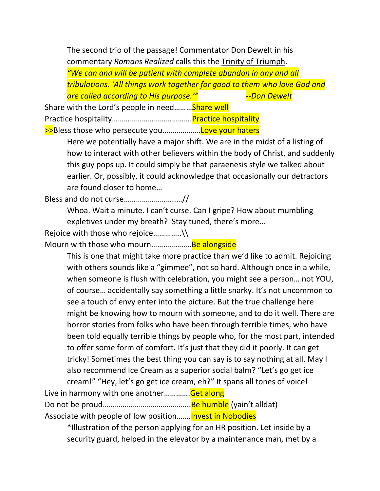The second trio of the passage! Commentator Don Dewelt in his commentary *Romans Realized* calls this the Trinity of Triumph. *"We can and will be patient with complete abandon in any and all tribulations. 'All things work together for good to them who love God and are called according to His purpose.'" --Don Dewelt*

Share with the Lord's people in need......... Share well Practice hospitality………………………………….Practice hospitality >>Bless those who persecute you....................Love your haters

> Here we potentially have a major shift. We are in the midst of a listing of how to interact with other believers within the body of Christ, and suddenly this guy pops up. It could simply be that paraenesis style we talked about earlier. Or, possibly, it could acknowledge that occasionally our detractors are found closer to home…

Bless and do not curse……………………..…//

Whoa. Wait a minute. I can't curse. Can I gripe? How about mumbling expletives under my breath? Stay tuned, there's more…

Rejoice with those who rejoice................\\

Mourn with those who mourn...........................Be alongside

This is one that might take more practice than we'd like to admit. Rejoicing with others sounds like a "gimmee", not so hard. Although once in a while, when someone is flush with celebration, you might see a person… not YOU, of course… accidentally say something a little snarky. It's not uncommon to see a touch of envy enter into the picture. But the true challenge here might be knowing how to mourn with someone, and to do it well. There are horror stories from folks who have been through terrible times, who have been told equally terrible things by people who, for the most part, intended to offer some form of comfort. It's just that they did it poorly. It can get tricky! Sometimes the best thing you can say is to say nothing at all. May I also recommend Ice Cream as a superior social balm? "Let's go get ice cream!" "Hey, let's go get ice cream, eh?" It spans all tones of voice!

Live in harmony with one another..............Get along Do not be proud……………………………………..Be humble (yain't alldat) Associate with people of low position....... Invest in Nobodies

\*Illustration of the person applying for an HR position. Let inside by a security guard, helped in the elevator by a maintenance man, met by a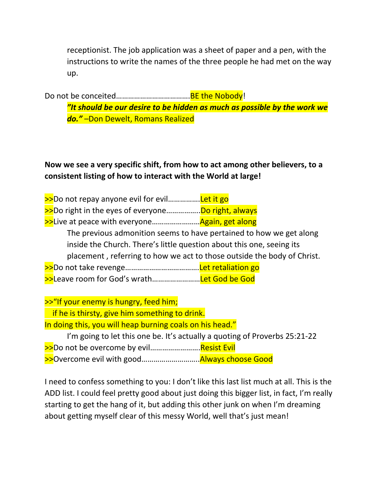receptionist. The job application was a sheet of paper and a pen, with the instructions to write the names of the three people he had met on the way up.

Do not be conceited…………………………………BE the Nobody!

*"It should be our desire to be hidden as much as possible by the work we do."* –Don Dewelt, Romans Realized

# **Now we see a very specific shift, from how to act among other believers, to a consistent listing of how to interact with the World at large!**

|                                                                         | >>Do not repay anyone evil for evilLet it go                        |  |
|-------------------------------------------------------------------------|---------------------------------------------------------------------|--|
|                                                                         | >>Do right in the eyes of everyoneDo right, always                  |  |
|                                                                         | >>Live at peace with everyoneAgain, get along                       |  |
|                                                                         | The previous admonition seems to have pertained to how we get along |  |
| inside the Church. There's little question about this one, seeing its   |                                                                     |  |
| placement, referring to how we act to those outside the body of Christ. |                                                                     |  |
|                                                                         |                                                                     |  |
|                                                                         | >>Leave room for God's wrathLet God be God                          |  |

>>"If your enemy is hungry, feed him; if he is thirsty, give him something to drink. In doing this, you will heap burning coals on his head." I'm going to let this one be. It's actually a quoting of Proverbs 25:21-22 >>Do not be overcome by evil..........................Resist Evil >>Overcome evil with good………………………..Always choose Good

I need to confess something to you: I don't like this last list much at all. This is the ADD list. I could feel pretty good about just doing this bigger list, in fact, I'm really starting to get the hang of it, but adding this other junk on when I'm dreaming about getting myself clear of this messy World, well that's just mean!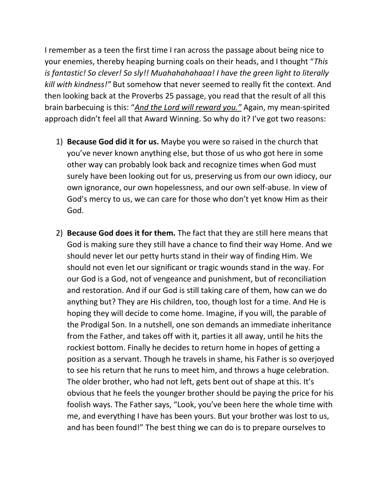I remember as a teen the first time I ran across the passage about being nice to your enemies, thereby heaping burning coals on their heads, and I thought "*This is fantastic! So clever! So sly!! Muahahahahaaa! I have the green light to literally kill with kindness!"* But somehow that never seemed to really fit the context. And then looking back at the Proverbs 25 passage, you read that the result of all this brain barbecuing is this: "*And the Lord will reward you."* Again, my mean-spirited approach didn't feel all that Award Winning. So why do it? I've got two reasons:

- 1) **Because God did it for us.** Maybe you were so raised in the church that you've never known anything else, but those of us who got here in some other way can probably look back and recognize times when God must surely have been looking out for us, preserving us from our own idiocy, our own ignorance, our own hopelessness, and our own self-abuse. In view of God's mercy to us, we can care for those who don't yet know Him as their God.
- 2) **Because God does it for them.** The fact that they are still here means that God is making sure they still have a chance to find their way Home. And we should never let our petty hurts stand in their way of finding Him. We should not even let our significant or tragic wounds stand in the way. For our God is a God, not of vengeance and punishment, but of reconciliation and restoration. And if our God is still taking care of them, how can we do anything but? They are His children, too, though lost for a time. And He is hoping they will decide to come home. Imagine, if you will, the parable of the Prodigal Son. In a nutshell, one son demands an immediate inheritance from the Father, and takes off with it, parties it all away, until he hits the rockiest bottom. Finally he decides to return home in hopes of getting a position as a servant. Though he travels in shame, his Father is so overjoyed to see his return that he runs to meet him, and throws a huge celebration. The older brother, who had not left, gets bent out of shape at this. It's obvious that he feels the younger brother should be paying the price for his foolish ways. The Father says, "Look, you've been here the whole time with me, and everything I have has been yours. But your brother was lost to us, and has been found!" The best thing we can do is to prepare ourselves to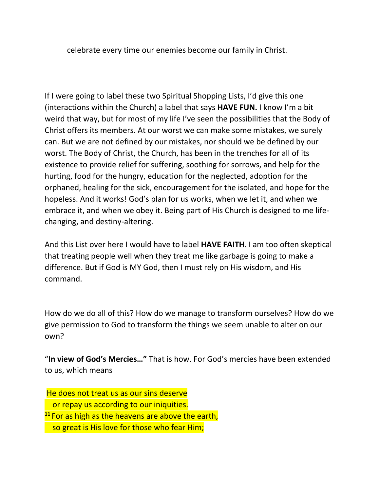celebrate every time our enemies become our family in Christ.

If I were going to label these two Spiritual Shopping Lists, I'd give this one (interactions within the Church) a label that says **HAVE FUN.** I know I'm a bit weird that way, but for most of my life I've seen the possibilities that the Body of Christ offers its members. At our worst we can make some mistakes, we surely can. But we are not defined by our mistakes, nor should we be defined by our worst. The Body of Christ, the Church, has been in the trenches for all of its existence to provide relief for suffering, soothing for sorrows, and help for the hurting, food for the hungry, education for the neglected, adoption for the orphaned, healing for the sick, encouragement for the isolated, and hope for the hopeless. And it works! God's plan for us works, when we let it, and when we embrace it, and when we obey it. Being part of His Church is designed to me lifechanging, and destiny-altering.

And this List over here I would have to label **HAVE FAITH**. I am too often skeptical that treating people well when they treat me like garbage is going to make a difference. But if God is MY God, then I must rely on His wisdom, and His command.

How do we do all of this? How do we manage to transform ourselves? How do we give permission to God to transform the things we seem unable to alter on our own?

"**In view of God's Mercies…"** That is how. For God's mercies have been extended to us, which means

He does not treat us as our sins deserve or repay us according to our iniquities. **<sup>11</sup>** For as high as the heavens are above the earth, so great is His love for those who fear Him;